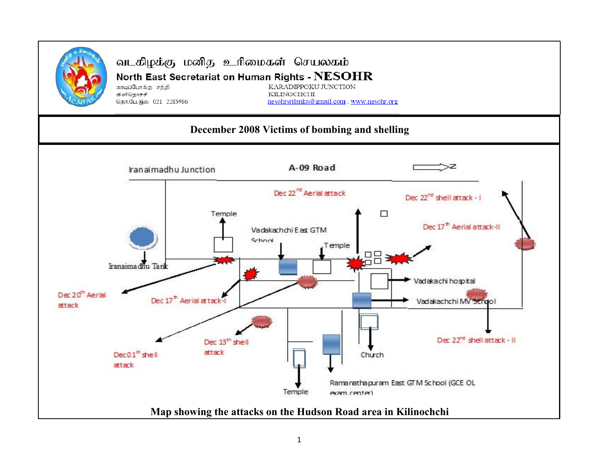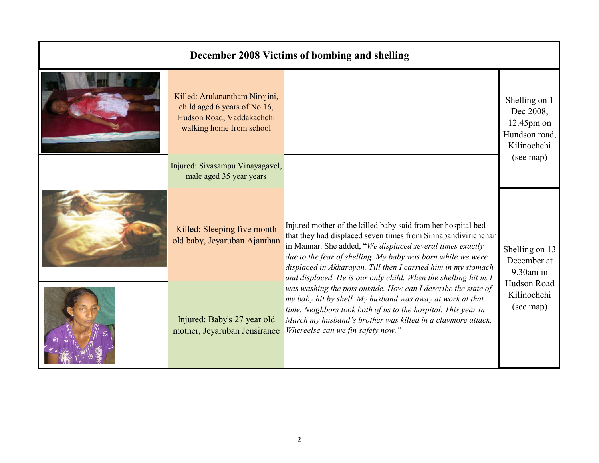## December 2008 Victims of bombing and shellingKilled: Arulanantham Nirojini, child aged 6 years of No 16, Hudson Road, Vaddakachchi Shelling on 1 Dec 2008, 12.45pm on

walking home from school

Injured: Sivasampu Vinayagavel, male aged 35 year years

Killed: Sleeping five month old baby, Jeyaruban Ajanthan

Injured: Baby's 27 year old mother, Jeyaruban Jensiranee

Shelling on 13 December at 9.30am in Hudson Road Kilinochchi (see map)Injured mother of the killed baby said from her hospital bed that they had displaced seven times from Sinnapandivirichchan in Mannar. She added, "We displaced several times exactly due to the fear of shelling. My baby was born while we were displaced in Akkarayan. Till then I carried him in my stomach and displaced. He is our only child. When the shelling hit us I was washing the pots outside. How can I describe the state of my baby hit by shell. My husband was away at work at that time. Neighbors took both of us to the hospital. This year in March my husband's brother was killed in a claymore attack. Whereelse can we fin safety now."

Hundson road, Kilinochchi (see map)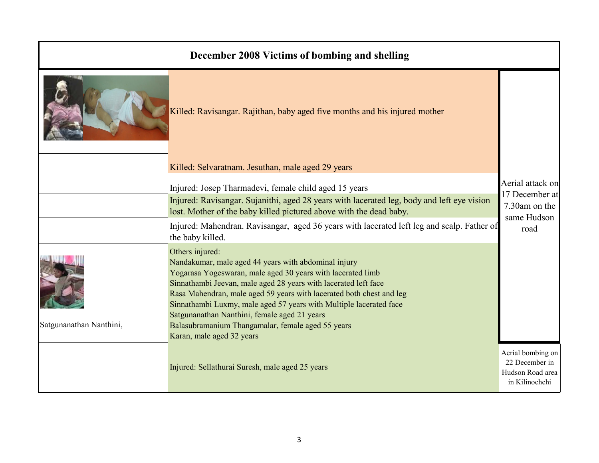| December 2008 Victims of bombing and shelling |                                                                                                                                                                                                                                                                                                                                                                                                                                                                                           |                                                                           |
|-----------------------------------------------|-------------------------------------------------------------------------------------------------------------------------------------------------------------------------------------------------------------------------------------------------------------------------------------------------------------------------------------------------------------------------------------------------------------------------------------------------------------------------------------------|---------------------------------------------------------------------------|
|                                               | Killed: Ravisangar. Rajithan, baby aged five months and his injured mother                                                                                                                                                                                                                                                                                                                                                                                                                |                                                                           |
|                                               | Killed: Selvaratnam. Jesuthan, male aged 29 years                                                                                                                                                                                                                                                                                                                                                                                                                                         |                                                                           |
|                                               | Injured: Josep Tharmadevi, female child aged 15 years<br>Injured: Ravisangar. Sujanithi, aged 28 years with lacerated leg, body and left eye vision<br>lost. Mother of the baby killed pictured above with the dead baby.                                                                                                                                                                                                                                                                 | Aerial attack on<br>17 December at<br>7.30am on the                       |
|                                               | Injured: Mahendran. Ravisangar, aged 36 years with lacerated left leg and scalp. Father of<br>the baby killed.                                                                                                                                                                                                                                                                                                                                                                            | same Hudson<br>road                                                       |
| Satgunanathan Nanthini,                       | Others injured:<br>Nandakumar, male aged 44 years with abdominal injury<br>Yogarasa Yogeswaran, male aged 30 years with lacerated limb<br>Sinnathambi Jeevan, male aged 28 years with lacerated left face<br>Rasa Mahendran, male aged 59 years with lacerated both chest and leg<br>Sinnathambi Luxmy, male aged 57 years with Multiple lacerated face<br>Satgunanathan Nanthini, female aged 21 years<br>Balasubramanium Thangamalar, female aged 55 years<br>Karan, male aged 32 years |                                                                           |
|                                               | Injured: Sellathurai Suresh, male aged 25 years                                                                                                                                                                                                                                                                                                                                                                                                                                           | Aerial bombing on<br>22 December in<br>Hudson Road area<br>in Kilinochchi |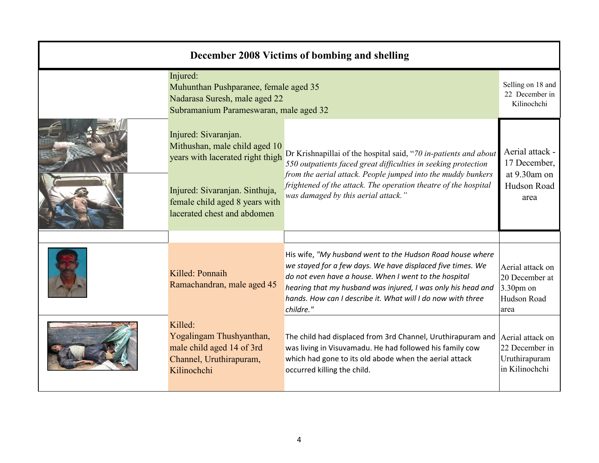| December 2008 Victims of bombing and shelling |                                                                                                                                                                                              |                                                                                                                                                                                                                                                                                                                              |                                                                          |  |
|-----------------------------------------------|----------------------------------------------------------------------------------------------------------------------------------------------------------------------------------------------|------------------------------------------------------------------------------------------------------------------------------------------------------------------------------------------------------------------------------------------------------------------------------------------------------------------------------|--------------------------------------------------------------------------|--|
|                                               | Injured:<br>Muhunthan Pushparanee, female aged 35<br>Nadarasa Suresh, male aged 22<br>Subramanium Parameswaran, male aged 32                                                                 |                                                                                                                                                                                                                                                                                                                              | Selling on 18 and<br>22 December in<br>Kilinochchi                       |  |
|                                               | Injured: Sivaranjan.<br>Mithushan, male child aged 10<br>years with lacerated right thigh<br>Injured: Sivaranjan. Sinthuja,<br>female child aged 8 years with<br>lacerated chest and abdomen | Dr Krishnapillai of the hospital said, "70 in-patients and about<br>550 outpatients faced great difficulties in seeking protection<br>from the aerial attack. People jumped into the muddy bunkers<br>frightened of the attack. The operation theatre of the hospital<br>was damaged by this aerial attack."                 | Aerial attack -<br>17 December,<br>at 9.30am on<br>Hudson Road<br>area   |  |
|                                               | Killed: Ponnaih<br>Ramachandran, male aged 45                                                                                                                                                | His wife, "My husband went to the Hudson Road house where<br>we stayed for a few days. We have displaced five times. We<br>do not even have a house. When I went to the hospital<br>hearing that my husband was injured, I was only his head and<br>hands. How can I describe it. What will I do now with three<br>childre." | Aerial attack on<br>20 December at<br>$3.30pm$ on<br>Hudson Road<br>area |  |
|                                               | Killed:<br>Yogalingam Thushyanthan,<br>male child aged 14 of 3rd<br>Channel, Uruthirapuram,<br>Kilinochchi                                                                                   | The child had displaced from 3rd Channel, Uruthirapuram and<br>was living in Visuvamadu. He had followed his family cow<br>which had gone to its old abode when the aerial attack<br>occurred killing the child.                                                                                                             | Aerial attack on<br>22 December in<br>Uruthirapuram<br>in Kilinochchi    |  |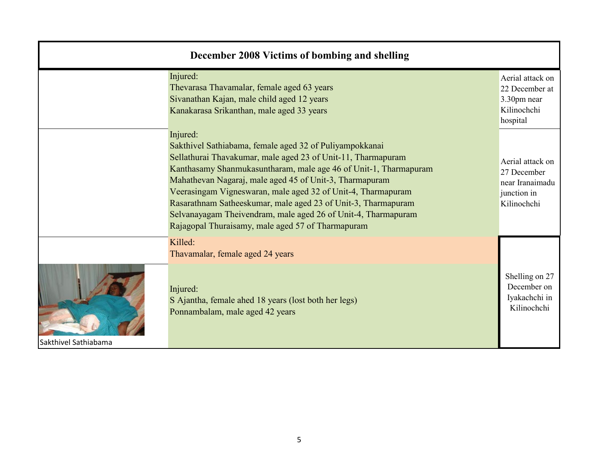| December 2008 Victims of bombing and shelling |                                                                                                                                                                                                                                                                                                                                                                                                                                                                                                                           |                                                                                  |  |
|-----------------------------------------------|---------------------------------------------------------------------------------------------------------------------------------------------------------------------------------------------------------------------------------------------------------------------------------------------------------------------------------------------------------------------------------------------------------------------------------------------------------------------------------------------------------------------------|----------------------------------------------------------------------------------|--|
|                                               | Injured:<br>Thevarasa Thavamalar, female aged 63 years<br>Sivanathan Kajan, male child aged 12 years<br>Kanakarasa Srikanthan, male aged 33 years                                                                                                                                                                                                                                                                                                                                                                         | Aerial attack on<br>22 December at<br>3.30pm near<br>Kilinochchi<br>hospital     |  |
|                                               | Injured:<br>Sakthivel Sathiabama, female aged 32 of Puliyampokkanai<br>Sellathurai Thavakumar, male aged 23 of Unit-11, Tharmapuram<br>Kanthasamy Shanmukasuntharam, male age 46 of Unit-1, Tharmapuram<br>Mahathevan Nagaraj, male aged 45 of Unit-3, Tharmapuram<br>Veerasingam Vigneswaran, male aged 32 of Unit-4, Tharmapuram<br>Rasarathnam Satheeskumar, male aged 23 of Unit-3, Tharmapuram<br>Selvanayagam Theivendram, male aged 26 of Unit-4, Tharmapuram<br>Rajagopal Thuraisamy, male aged 57 of Tharmapuram | Aerial attack on<br>27 December<br>near Iranaimadu<br>junction in<br>Kilinochchi |  |
| Sakthivel Sathiabama                          | Killed:<br>Thavamalar, female aged 24 years<br>Injured:<br>S Ajantha, female ahed 18 years (lost both her legs)<br>Ponnambalam, male aged 42 years                                                                                                                                                                                                                                                                                                                                                                        | Shelling on 27<br>December on<br>Iyakachchi in<br>Kilinochchi                    |  |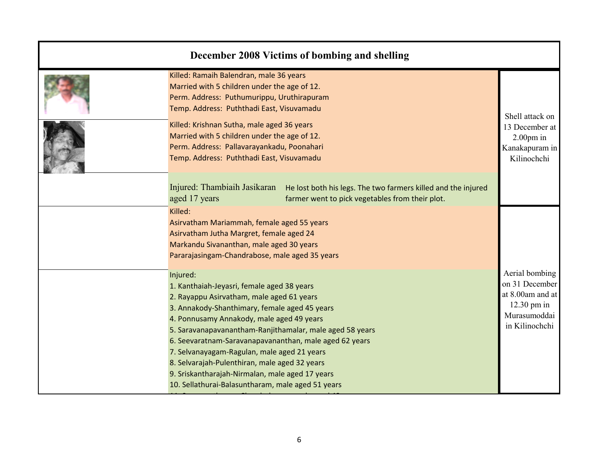| December 2008 Victims of bombing and shelling                                                                                                                                                                                                                                                                                                                                                                                                                                                                                   |                                                                                                         |
|---------------------------------------------------------------------------------------------------------------------------------------------------------------------------------------------------------------------------------------------------------------------------------------------------------------------------------------------------------------------------------------------------------------------------------------------------------------------------------------------------------------------------------|---------------------------------------------------------------------------------------------------------|
| Killed: Ramaih Balendran, male 36 years<br>Married with 5 children under the age of 12.<br>Perm. Address: Puthumurippu, Uruthirapuram<br>Temp. Address: Puththadi East, Visuvamadu                                                                                                                                                                                                                                                                                                                                              |                                                                                                         |
| Killed: Krishnan Sutha, male aged 36 years<br>Married with 5 children under the age of 12.<br>Perm. Address: Pallavarayankadu, Poonahari<br>Temp. Address: Puththadi East, Visuvamadu                                                                                                                                                                                                                                                                                                                                           | Shell attack on<br>13 December at<br>$2.00pm$ in<br>Kanakapuram in<br>Kilinochchi                       |
| Injured: Thambiaih Jasikaran<br>He lost both his legs. The two farmers killed and the injured<br>aged 17 years<br>farmer went to pick vegetables from their plot.                                                                                                                                                                                                                                                                                                                                                               |                                                                                                         |
| Killed:<br>Asirvatham Mariammah, female aged 55 years<br>Asirvatham Jutha Margret, female aged 24<br>Markandu Sivananthan, male aged 30 years<br>Pararajasingam-Chandrabose, male aged 35 years                                                                                                                                                                                                                                                                                                                                 |                                                                                                         |
| Injured:<br>1. Kanthaiah-Jeyasri, female aged 38 years<br>2. Rayappu Asirvatham, male aged 61 years<br>3. Annakody-Shanthimary, female aged 45 years<br>4. Ponnusamy Annakody, male aged 49 years<br>5. Saravanapavanantham-Ranjithamalar, male aged 58 years<br>6. Seevaratnam-Saravanapavananthan, male aged 62 years<br>7. Selvanayagam-Ragulan, male aged 21 years<br>8. Selvarajah-Pulenthiran, male aged 32 years<br>9. Sriskantharajah-Nirmalan, male aged 17 years<br>10. Sellathurai-Balasuntharam, male aged 51 years | Aerial bombing<br>on 31 December<br>at 8.00am and at<br>$12.30$ pm in<br>Murasumoddai<br>in Kilinochchi |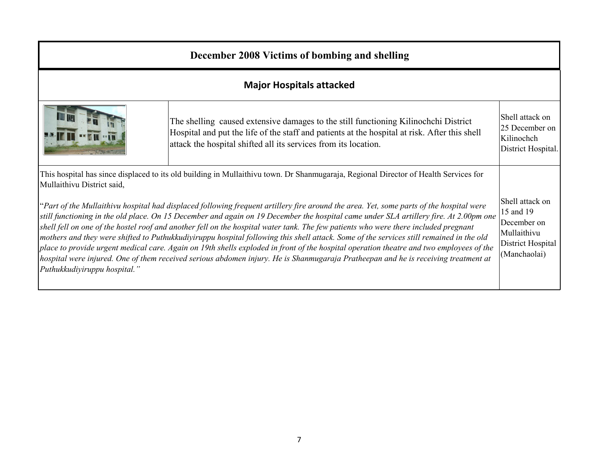## December 2008 Victims of bombing and shelling

## Major Hospitals attacked



Shell attack on 25 December on Kilinochch District Hospital.The shelling caused extensive damages to the still functioning Kilinochchi District Hospital and put the life of the staff and patients at the hospital at risk. After this shell attack the hospital shifted all its services from its location.

This hospital has since displaced to its old building in Mullaithivu town. Dr Shanmugaraja, Regional Director of Health Services for Mullaithivu District said,

Shell attack on 15 and 19 "Part of the Mullaithivu hospital had displaced following frequent artillery fire around the area. Yet, some parts of the hospital were still functioning in the old place. On 15 December and again on 19 December the hospital came under SLA artillery fire. At 2.00pm one December on Mullaithivu District Hospital (Manchaolai) shell fell on one of the hostel roof and another fell on the hospital water tank. The few patients who were there included pregnant mothers and they were shifted to Puthukkudiyiruppu hospital following this shell attack. Some of the services still remained in the old place to provide urgent medical care. Again on 19th shells exploded in front of the hospital operation theatre and two employees of the hospital were injured. One of them received serious abdomen injury. He is Shanmugaraja Pratheepan and he is receiving treatment at Puthukkudiyiruppu hospital."